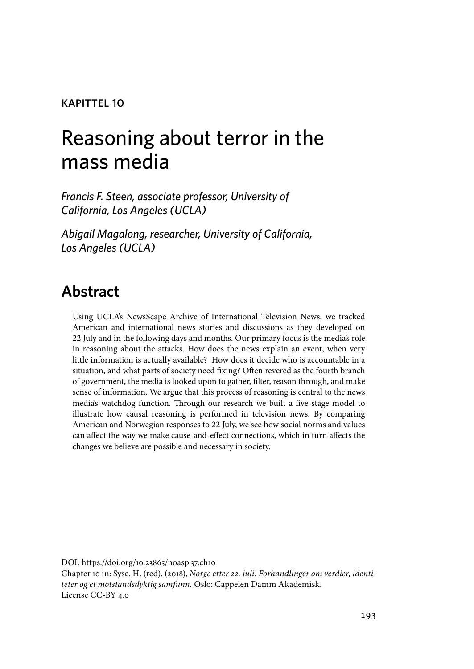#### kapittel 10

# Reasoning about terror in the mass media

*Francis F. Steen, associate professor, University of California, Los Angeles (UCLA)*

*Abigail Magalong, researcher, University of California, Los Angeles (UCLA)*

# **Abstract**

Using UCLA's NewsScape Archive of International Television News, we tracked American and international news stories and discussions as they developed on 22 July and in the following days and months. Our primary focus is the media's role in reasoning about the attacks. How does the news explain an event, when very little information is actually available? How does it decide who is accountable in a situation, and what parts of society need fixing? Often revered as the fourth branch of government, the media is looked upon to gather, filter, reason through, and make sense of information. We argue that this process of reasoning is central to the news media's watchdog function. Through our research we built a five-stage model to illustrate how causal reasoning is performed in television news. By comparing American and Norwegian responses to 22 July, we see how social norms and values can affect the way we make cause-and-effect connections, which in turn affects the changes we believe are possible and necessary in society.

DOI: https://doi.org/10.23865/noasp.37.ch10 Chapter 10 in: Syse. H. (red). (2018), *Norge etter 22. juli. Forhandlinger om verdier, identiteter og et motstandsdyktig samfunn.* Oslo: Cappelen Damm Akademisk. License CC-BY 4.0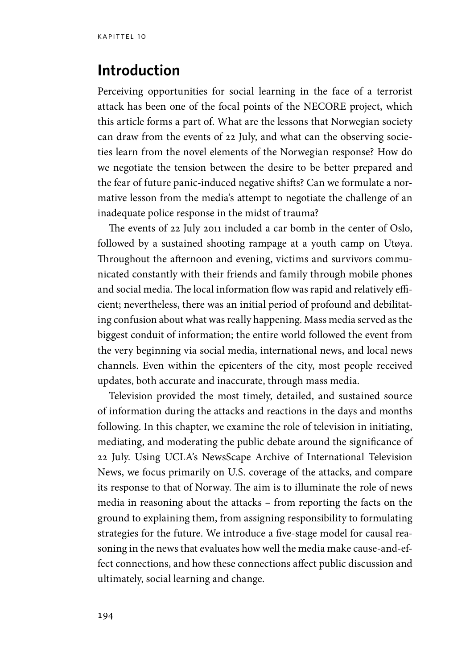### **Introduction**

Perceiving opportunities for social learning in the face of a terrorist attack has been one of the focal points of the NECORE project, which this article forms a part of. What are the lessons that Norwegian society can draw from the events of 22 July, and what can the observing societies learn from the novel elements of the Norwegian response? How do we negotiate the tension between the desire to be better prepared and the fear of future panic-induced negative shifts? Can we formulate a normative lesson from the media's attempt to negotiate the challenge of an inadequate police response in the midst of trauma?

The events of 22 July 2011 included a car bomb in the center of Oslo, followed by a sustained shooting rampage at a youth camp on Utøya. Throughout the afternoon and evening, victims and survivors communicated constantly with their friends and family through mobile phones and social media. The local information flow was rapid and relatively efficient; nevertheless, there was an initial period of profound and debilitating confusion about what was really happening. Mass media served as the biggest conduit of information; the entire world followed the event from the very beginning via social media, international news, and local news channels. Even within the epicenters of the city, most people received updates, both accurate and inaccurate, through mass media.

Television provided the most timely, detailed, and sustained source of information during the attacks and reactions in the days and months following. In this chapter, we examine the role of television in initiating, mediating, and moderating the public debate around the significance of 22 July. Using UCLA's NewsScape Archive of International Television News, we focus primarily on U.S. coverage of the attacks, and compare its response to that of Norway. The aim is to illuminate the role of news media in reasoning about the attacks – from reporting the facts on the ground to explaining them, from assigning responsibility to formulating strategies for the future. We introduce a five-stage model for causal reasoning in the news that evaluates how well the media make cause-and-effect connections, and how these connections affect public discussion and ultimately, social learning and change.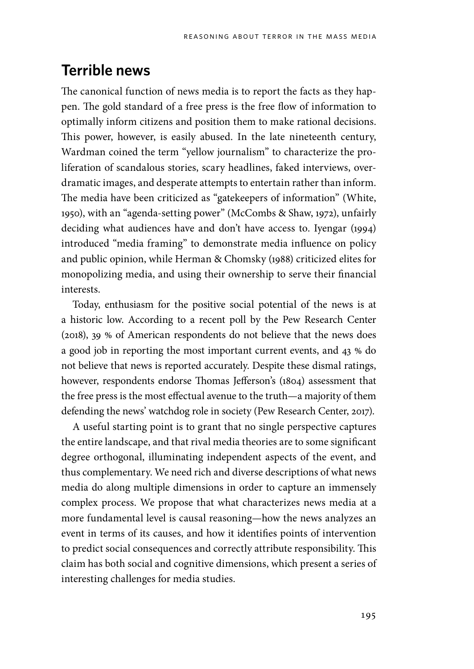# **Terrible news**

The canonical function of news media is to report the facts as they happen. The gold standard of a free press is the free flow of information to optimally inform citizens and position them to make rational decisions. This power, however, is easily abused. In the late nineteenth century, Wardman coined the term "yellow journalism" to characterize the proliferation of scandalous stories, scary headlines, faked interviews, overdramatic images, and desperate attempts to entertain rather than inform. The media have been criticized as "gatekeepers of information" (White, 1950), with an "agenda-setting power" (McCombs & Shaw, 1972), unfairly deciding what audiences have and don't have access to. Iyengar (1994) introduced "media framing" to demonstrate media influence on policy and public opinion, while Herman & Chomsky (1988) criticized elites for monopolizing media, and using their ownership to serve their financial interests.

Today, enthusiasm for the positive social potential of the news is at a historic low. According to a recent poll by the Pew Research Center (2018), 39 % of American respondents do not believe that the news does a good job in reporting the most important current events, and 43 % do not believe that news is reported accurately. Despite these dismal ratings, however, respondents endorse Thomas Jefferson's (1804) assessment that the free press is the most effectual avenue to the truth—a majority of them defending the news' watchdog role in society (Pew Research Center, 2017).

A useful starting point is to grant that no single perspective captures the entire landscape, and that rival media theories are to some significant degree orthogonal, illuminating independent aspects of the event, and thus complementary. We need rich and diverse descriptions of what news media do along multiple dimensions in order to capture an immensely complex process. We propose that what characterizes news media at a more fundamental level is causal reasoning—how the news analyzes an event in terms of its causes, and how it identifies points of intervention to predict social consequences and correctly attribute responsibility. This claim has both social and cognitive dimensions, which present a series of interesting challenges for media studies.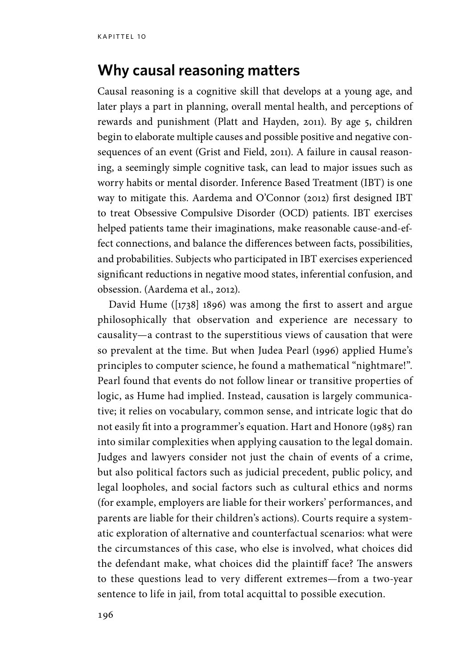#### **Why causal reasoning matters**

Causal reasoning is a cognitive skill that develops at a young age, and later plays a part in planning, overall mental health, and perceptions of rewards and punishment (Platt and Hayden, 2011). By age 5, children begin to elaborate multiple causes and possible positive and negative consequences of an event (Grist and Field, 2011). A failure in causal reasoning, a seemingly simple cognitive task, can lead to major issues such as worry habits or mental disorder. Inference Based Treatment (IBT) is one way to mitigate this. Aardema and O'Connor (2012) first designed IBT to treat Obsessive Compulsive Disorder (OCD) patients. IBT exercises helped patients tame their imaginations, make reasonable cause-and-effect connections, and balance the differences between facts, possibilities, and probabilities. Subjects who participated in IBT exercises experienced significant reductions in negative mood states, inferential confusion, and obsession. (Aardema et al., 2012).

David Hume ([1738] 1896) was among the first to assert and argue philosophically that observation and experience are necessary to causality—a contrast to the superstitious views of causation that were so prevalent at the time. But when Judea Pearl (1996) applied Hume's principles to computer science, he found a mathematical "nightmare!". Pearl found that events do not follow linear or transitive properties of logic, as Hume had implied. Instead, causation is largely communicative; it relies on vocabulary, common sense, and intricate logic that do not easily fit into a programmer's equation. Hart and Honore (1985) ran into similar complexities when applying causation to the legal domain. Judges and lawyers consider not just the chain of events of a crime, but also political factors such as judicial precedent, public policy, and legal loopholes, and social factors such as cultural ethics and norms (for example, employers are liable for their workers' performances, and parents are liable for their children's actions). Courts require a systematic exploration of alternative and counterfactual scenarios: what were the circumstances of this case, who else is involved, what choices did the defendant make, what choices did the plaintiff face? The answers to these questions lead to very different extremes—from a two-year sentence to life in jail, from total acquittal to possible execution.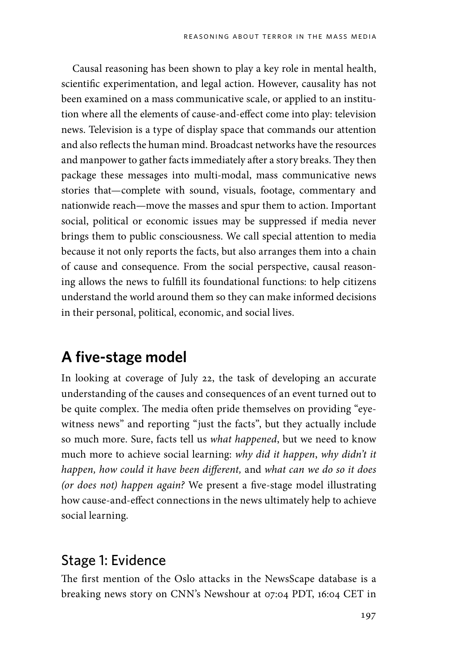Causal reasoning has been shown to play a key role in mental health, scientific experimentation, and legal action. However, causality has not been examined on a mass communicative scale, or applied to an institution where all the elements of cause-and-effect come into play: television news. Television is a type of display space that commands our attention and also reflects the human mind. Broadcast networks have the resources and manpower to gather facts immediately after a story breaks. They then package these messages into multi-modal, mass communicative news stories that—complete with sound, visuals, footage, commentary and nationwide reach—move the masses and spur them to action. Important social, political or economic issues may be suppressed if media never brings them to public consciousness. We call special attention to media because it not only reports the facts, but also arranges them into a chain of cause and consequence. From the social perspective, causal reasoning allows the news to fulfill its foundational functions: to help citizens understand the world around them so they can make informed decisions in their personal, political, economic, and social lives.

# **A five-stage model**

In looking at coverage of July 22, the task of developing an accurate understanding of the causes and consequences of an event turned out to be quite complex. The media often pride themselves on providing "eyewitness news" and reporting "just the facts", but they actually include so much more. Sure, facts tell us *what happened*, but we need to know much more to achieve social learning: *why did it happen*, *why didn't it happen, how could it have been different,* and *what can we do so it does (or does not) happen again?* We present a five-stage model illustrating how cause-and-effect connections in the news ultimately help to achieve social learning.

#### Stage 1: Evidence

The first mention of the Oslo attacks in the NewsScape database is a breaking news story on CNN's Newshour at 07:04 PDT, 16:04 CET in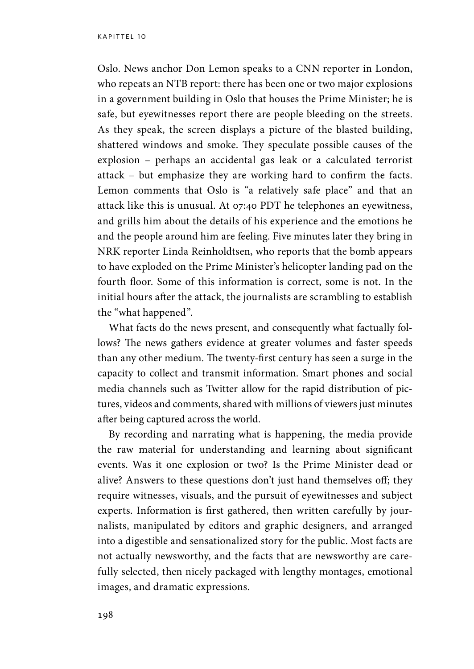Oslo. News anchor Don Lemon speaks to a CNN reporter in London, who repeats an NTB report: there has been one or two major explosions in a government building in Oslo that houses the Prime Minister; he is safe, but eyewitnesses report there are people bleeding on the streets. As they speak, the screen displays a picture of the blasted building, shattered windows and smoke. They speculate possible causes of the explosion – perhaps an accidental gas leak or a calculated terrorist attack – but emphasize they are working hard to confirm the facts. Lemon comments that Oslo is "a relatively safe place" and that an attack like this is unusual. At 07:40 PDT he telephones an eyewitness, and grills him about the details of his experience and the emotions he and the people around him are feeling. Five minutes later they bring in NRK reporter Linda Reinholdtsen, who reports that the bomb appears to have exploded on the Prime Minister's helicopter landing pad on the fourth floor. Some of this information is correct, some is not. In the initial hours after the attack, the journalists are scrambling to establish the "what happened".

What facts do the news present, and consequently what factually follows? The news gathers evidence at greater volumes and faster speeds than any other medium. The twenty-first century has seen a surge in the capacity to collect and transmit information. Smart phones and social media channels such as Twitter allow for the rapid distribution of pictures, videos and comments, shared with millions of viewers just minutes after being captured across the world.

By recording and narrating what is happening, the media provide the raw material for understanding and learning about significant events. Was it one explosion or two? Is the Prime Minister dead or alive? Answers to these questions don't just hand themselves off; they require witnesses, visuals, and the pursuit of eyewitnesses and subject experts. Information is first gathered, then written carefully by journalists, manipulated by editors and graphic designers, and arranged into a digestible and sensationalized story for the public. Most facts are not actually newsworthy, and the facts that are newsworthy are carefully selected, then nicely packaged with lengthy montages, emotional images, and dramatic expressions.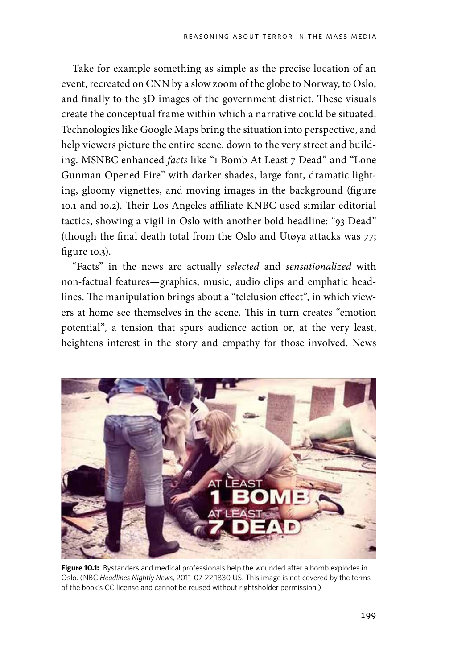Take for example something as simple as the precise location of an event, recreated on CNN by a slow zoom of the globe to Norway, to Oslo, and finally to the 3D images of the government district. These visuals create the conceptual frame within which a narrative could be situated. Technologies like Google Maps bring the situation into perspective, and help viewers picture the entire scene, down to the very street and building. MSNBC enhanced *facts* like "1 Bomb At Least 7 Dead" and "Lone Gunman Opened Fire" with darker shades, large font, dramatic lighting, gloomy vignettes, and moving images in the background (figure 10.1 and 10.2). Their Los Angeles affiliate KNBC used similar editorial tactics, showing a vigil in Oslo with another bold headline: "93 Dead" (though the final death total from the Oslo and Utøya attacks was 77; figure 10.3).

"Facts" in the news are actually *selected* and *sensationalized* with non-factual features—graphics, music, audio clips and emphatic headlines. The manipulation brings about a "telelusion effect", in which viewers at home see themselves in the scene. This in turn creates "emotion potential", a tension that spurs audience action or, at the very least, heightens interest in the story and empathy for those involved. News



Figure 10.1: Bystanders and medical professionals help the wounded after a bomb explodes in Oslo. (NBC *Headlines Nightly News*, 2011-07-22,1830 US. This image is not covered by the terms of the book's CC license and cannot be reused without rightsholder permission.)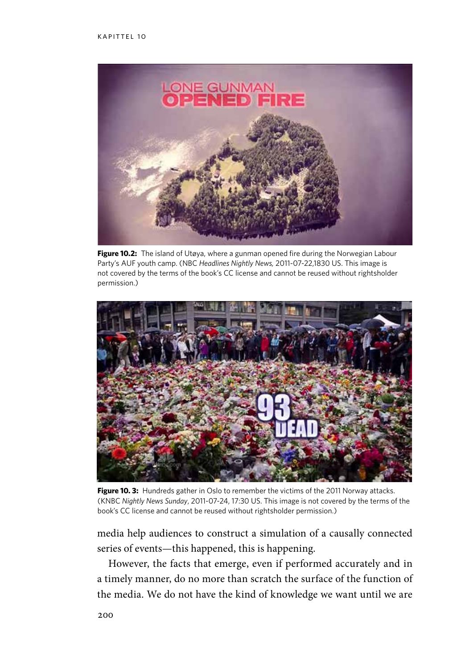

**Figure 10.2:** The island of Utøya, where a gunman opened fire during the Norwegian Labour Party's AUF youth camp. (NBC *Headlines Nightly News,* 2011-07-22,1830 US. This image is not covered by the terms of the book's CC license and cannot be reused without rightsholder permission.)



**Figure 10. 3:** Hundreds gather in Oslo to remember the victims of the 2011 Norway attacks. (KNBC *Nightly News Sunday*, 2011-07-24, 17:30 US. This image is not covered by the terms of the book's CC license and cannot be reused without rightsholder permission.)

media help audiences to construct a simulation of a causally connected series of events—this happened, this is happening.

However, the facts that emerge, even if performed accurately and in a timely manner, do no more than scratch the surface of the function of the media. We do not have the kind of knowledge we want until we are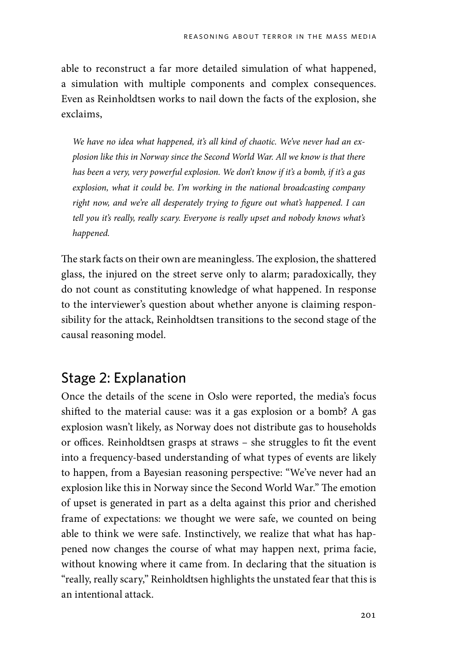able to reconstruct a far more detailed simulation of what happened, a simulation with multiple components and complex consequences. Even as Reinholdtsen works to nail down the facts of the explosion, she exclaims,

*We have no idea what happened, it's all kind of chaotic. We've never had an explosion like this in Norway since the Second World War. All we know is that there has been a very, very powerful explosion. We don't know if it's a bomb, if it's a gas explosion, what it could be. I'm working in the national broadcasting company right now, and we're all desperately trying to figure out what's happened. I can tell you it's really, really scary. Everyone is really upset and nobody knows what's happened.*

The stark facts on their own are meaningless. The explosion, the shattered glass, the injured on the street serve only to alarm; paradoxically, they do not count as constituting knowledge of what happened. In response to the interviewer's question about whether anyone is claiming responsibility for the attack, Reinholdtsen transitions to the second stage of the causal reasoning model.

### Stage 2: Explanation

Once the details of the scene in Oslo were reported, the media's focus shifted to the material cause: was it a gas explosion or a bomb? A gas explosion wasn't likely, as Norway does not distribute gas to households or offices. Reinholdtsen grasps at straws – she struggles to fit the event into a frequency-based understanding of what types of events are likely to happen, from a Bayesian reasoning perspective: "We've never had an explosion like this in Norway since the Second World War." The emotion of upset is generated in part as a delta against this prior and cherished frame of expectations: we thought we were safe, we counted on being able to think we were safe. Instinctively, we realize that what has happened now changes the course of what may happen next, prima facie, without knowing where it came from. In declaring that the situation is "really, really scary," Reinholdtsen highlights the unstated fear that this is an intentional attack.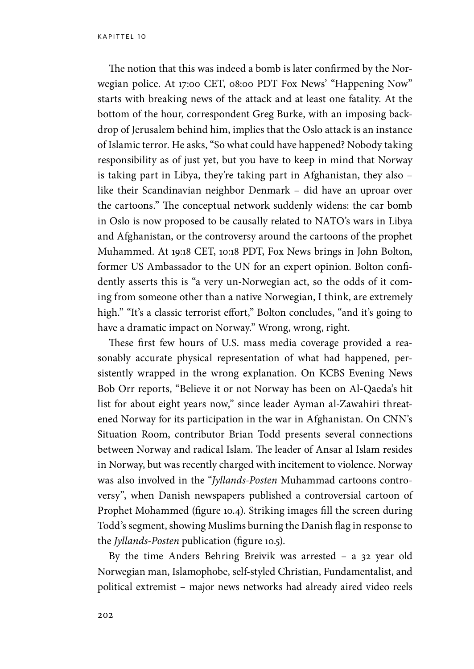The notion that this was indeed a bomb is later confirmed by the Norwegian police. At 17:00 CET, 08:00 PDT Fox News' "Happening Now" starts with breaking news of the attack and at least one fatality. At the bottom of the hour, correspondent Greg Burke, with an imposing backdrop of Jerusalem behind him, implies that the Oslo attack is an instance of Islamic terror. He asks, "So what could have happened? Nobody taking responsibility as of just yet, but you have to keep in mind that Norway is taking part in Libya, they're taking part in Afghanistan, they also – like their Scandinavian neighbor Denmark – did have an uproar over the cartoons." The conceptual network suddenly widens: the car bomb in Oslo is now proposed to be causally related to NATO's wars in Libya and Afghanistan, or the controversy around the cartoons of the prophet Muhammed. At 19:18 CET, 10:18 PDT, Fox News brings in John Bolton, former US Ambassador to the UN for an expert opinion. Bolton confidently asserts this is "a very un-Norwegian act, so the odds of it coming from someone other than a native Norwegian, I think, are extremely high." "It's a classic terrorist effort," Bolton concludes, "and it's going to have a dramatic impact on Norway." Wrong, wrong, right.

These first few hours of U.S. mass media coverage provided a reasonably accurate physical representation of what had happened, persistently wrapped in the wrong explanation. On KCBS Evening News Bob Orr reports, "Believe it or not Norway has been on Al-Qaeda's hit list for about eight years now," since leader Ayman al-Zawahiri threatened Norway for its participation in the war in Afghanistan. On CNN's Situation Room, contributor Brian Todd presents several connections between Norway and radical Islam. The leader of Ansar al Islam resides in Norway, but was recently charged with incitement to violence. Norway was also involved in the "*Jyllands-Posten* Muhammad cartoons controversy", when Danish newspapers published a controversial cartoon of Prophet Mohammed (figure 10.4). Striking images fill the screen during Todd's segment, showing Muslims burning the Danish flag in response to the *Jyllands-Posten* publication (figure 10.5).

By the time Anders Behring Breivik was arrested – a 32 year old Norwegian man, Islamophobe, self-styled Christian, Fundamentalist, and political extremist – major news networks had already aired video reels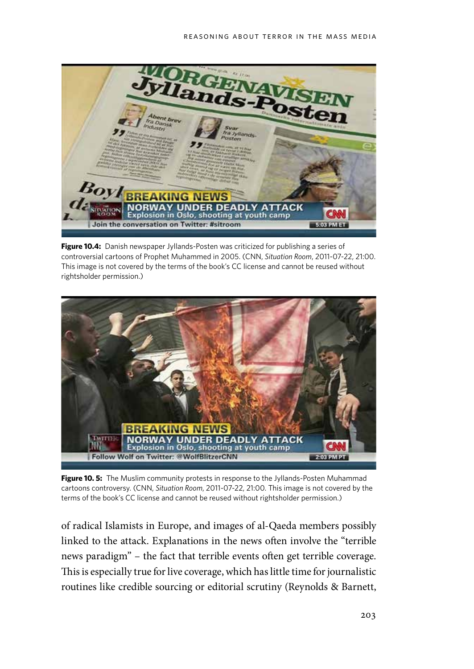

**Figure 10.4:** Danish newspaper Jyllands-Posten was criticized for publishing a series of controversial cartoons of Prophet Muhammed in 2005. (CNN, *Situation Room*, 2011-07-22, 21:00. This image is not covered by the terms of the book's CC license and cannot be reused without rightsholder permission.)



Figure 10. 5: The Muslim community protests in response to the Jyllands-Posten Muhammad cartoons controversy. (CNN, *Situation Room*, 2011-07-22, 21:00. This image is not covered by the terms of the book's CC license and cannot be reused without rightsholder permission.)

of radical Islamists in Europe, and images of al-Qaeda members possibly linked to the attack. Explanations in the news often involve the "terrible news paradigm" – the fact that terrible events often get terrible coverage. This is especially true for live coverage, which has little time for journalistic routines like credible sourcing or editorial scrutiny (Reynolds & Barnett,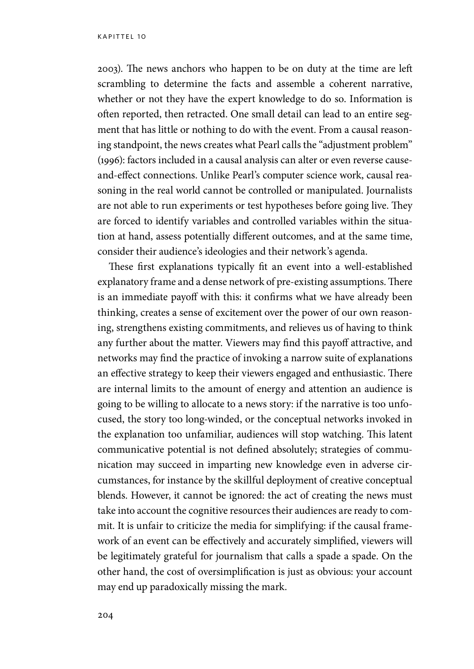2003). The news anchors who happen to be on duty at the time are left scrambling to determine the facts and assemble a coherent narrative, whether or not they have the expert knowledge to do so. Information is often reported, then retracted. One small detail can lead to an entire segment that has little or nothing to do with the event. From a causal reasoning standpoint, the news creates what Pearl calls the "adjustment problem" (1996): factors included in a causal analysis can alter or even reverse causeand-effect connections. Unlike Pearl's computer science work, causal reasoning in the real world cannot be controlled or manipulated. Journalists are not able to run experiments or test hypotheses before going live. They are forced to identify variables and controlled variables within the situation at hand, assess potentially different outcomes, and at the same time, consider their audience's ideologies and their network's agenda.

These first explanations typically fit an event into a well-established explanatory frame and a dense network of pre-existing assumptions. There is an immediate payoff with this: it confirms what we have already been thinking, creates a sense of excitement over the power of our own reasoning, strengthens existing commitments, and relieves us of having to think any further about the matter. Viewers may find this payoff attractive, and networks may find the practice of invoking a narrow suite of explanations an effective strategy to keep their viewers engaged and enthusiastic. There are internal limits to the amount of energy and attention an audience is going to be willing to allocate to a news story: if the narrative is too unfocused, the story too long-winded, or the conceptual networks invoked in the explanation too unfamiliar, audiences will stop watching. This latent communicative potential is not defined absolutely; strategies of communication may succeed in imparting new knowledge even in adverse circumstances, for instance by the skillful deployment of creative conceptual blends. However, it cannot be ignored: the act of creating the news must take into account the cognitive resources their audiences are ready to commit. It is unfair to criticize the media for simplifying: if the causal framework of an event can be effectively and accurately simplified, viewers will be legitimately grateful for journalism that calls a spade a spade. On the other hand, the cost of oversimplification is just as obvious: your account may end up paradoxically missing the mark.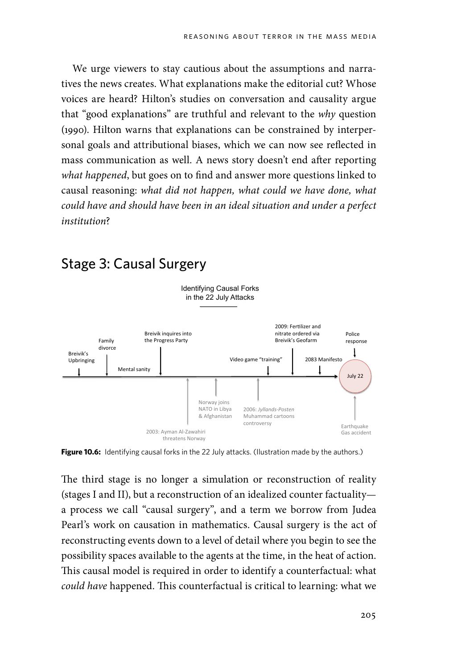We urge viewers to stay cautious about the assumptions and narratives the news creates. What explanations make the editorial cut? Whose voices are heard? Hilton's studies on conversation and causality argue that "good explanations" are truthful and relevant to the *why* question (1990). Hilton warns that explanations can be constrained by interpersonal goals and attributional biases, which we can now see reflected in mass communication as well. A news story doesn't end after reporting *what happened*, but goes on to find and answer more questions linked to causal reasoning: *what did not happen, what could we have done, what could have and should have been in an ideal situation and under a perfect institution*?



# Stage 3: Causal Surgery

**Figure 10.6:** Identifying causal forks in the 22 July attacks. (Ilustration made by the authors.)

The third stage is no longer a simulation or reconstruction of reality (stages I and II), but a reconstruction of an idealized counter factuality a process we call "causal surgery", and a term we borrow from Judea Pearl's work on causation in mathematics. Causal surgery is the act of reconstructing events down to a level of detail where you begin to see the possibility spaces available to the agents at the time, in the heat of action. This causal model is required in order to identify a counterfactual: what *could have* happened. This counterfactual is critical to learning: what we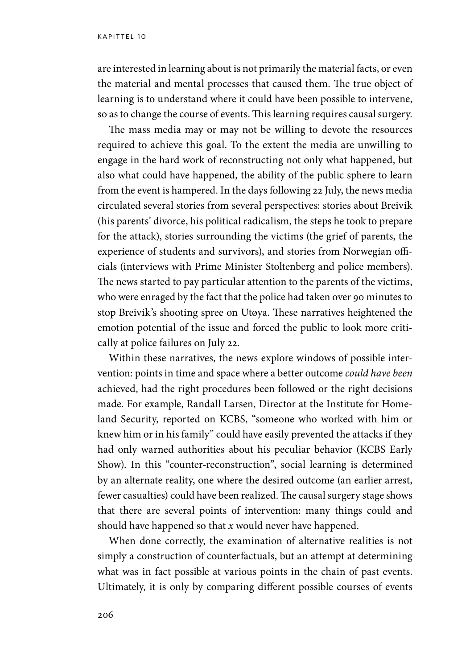are interested in learning about is not primarily the material facts, or even the material and mental processes that caused them. The true object of learning is to understand where it could have been possible to intervene, so as to change the course of events. This learning requires causal surgery.

The mass media may or may not be willing to devote the resources required to achieve this goal. To the extent the media are unwilling to engage in the hard work of reconstructing not only what happened, but also what could have happened, the ability of the public sphere to learn from the event is hampered. In the days following 22 July, the news media circulated several stories from several perspectives: stories about Breivik (his parents' divorce, his political radicalism, the steps he took to prepare for the attack), stories surrounding the victims (the grief of parents, the experience of students and survivors), and stories from Norwegian officials (interviews with Prime Minister Stoltenberg and police members). The news started to pay particular attention to the parents of the victims, who were enraged by the fact that the police had taken over 90 minutes to stop Breivik's shooting spree on Utøya. These narratives heightened the emotion potential of the issue and forced the public to look more critically at police failures on July 22.

Within these narratives, the news explore windows of possible intervention: points in time and space where a better outcome *could have been* achieved, had the right procedures been followed or the right decisions made. For example, Randall Larsen, Director at the Institute for Homeland Security, reported on KCBS, "someone who worked with him or knew him or in his family" could have easily prevented the attacks if they had only warned authorities about his peculiar behavior (KCBS Early Show). In this "counter-reconstruction", social learning is determined by an alternate reality, one where the desired outcome (an earlier arrest, fewer casualties) could have been realized. The causal surgery stage shows that there are several points of intervention: many things could and should have happened so that *x* would never have happened.

When done correctly, the examination of alternative realities is not simply a construction of counterfactuals, but an attempt at determining what was in fact possible at various points in the chain of past events. Ultimately, it is only by comparing different possible courses of events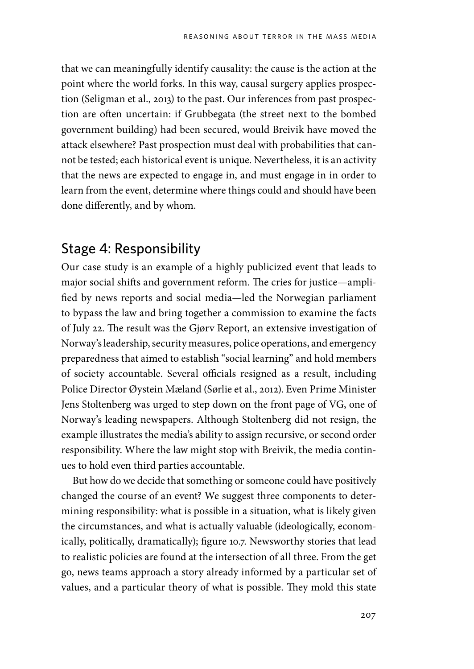that we can meaningfully identify causality: the cause is the action at the point where the world forks. In this way, causal surgery applies prospection (Seligman et al., 2013) to the past. Our inferences from past prospection are often uncertain: if Grubbegata (the street next to the bombed government building) had been secured, would Breivik have moved the attack elsewhere? Past prospection must deal with probabilities that cannot be tested; each historical event is unique. Nevertheless, it is an activity that the news are expected to engage in, and must engage in in order to learn from the event, determine where things could and should have been done differently, and by whom.

#### Stage 4: Responsibility

Our case study is an example of a highly publicized event that leads to major social shifts and government reform. The cries for justice—amplified by news reports and social media—led the Norwegian parliament to bypass the law and bring together a commission to examine the facts of July 22. The result was the Gjørv Report, an extensive investigation of Norway's leadership, security measures, police operations, and emergency preparedness that aimed to establish "social learning" and hold members of society accountable. Several officials resigned as a result, including Police Director Øystein Mæland (Sørlie et al., 2012). Even Prime Minister Jens Stoltenberg was urged to step down on the front page of VG, one of Norway's leading newspapers. Although Stoltenberg did not resign, the example illustrates the media's ability to assign recursive, or second order responsibility. Where the law might stop with Breivik, the media continues to hold even third parties accountable.

But how do we decide that something or someone could have positively changed the course of an event? We suggest three components to determining responsibility: what is possible in a situation, what is likely given the circumstances, and what is actually valuable (ideologically, economically, politically, dramatically); figure 10.7. Newsworthy stories that lead to realistic policies are found at the intersection of all three. From the get go, news teams approach a story already informed by a particular set of values, and a particular theory of what is possible. They mold this state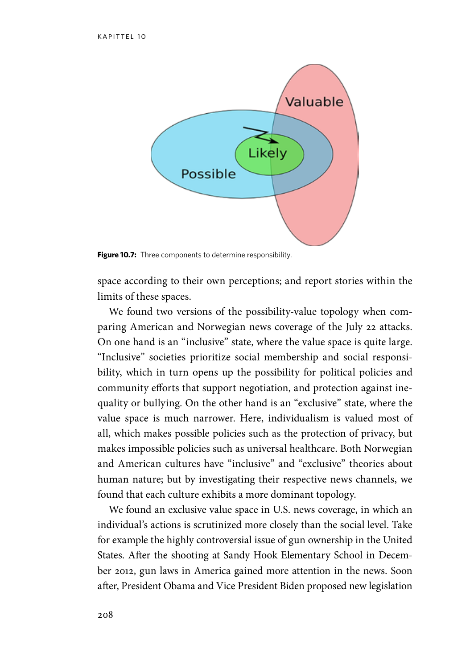

Figure 10.7: Three components to determine responsibility.

space according to their own perceptions; and report stories within the limits of these spaces.

We found two versions of the possibility-value topology when comparing American and Norwegian news coverage of the July 22 attacks. On one hand is an "inclusive" state, where the value space is quite large. "Inclusive" societies prioritize social membership and social responsibility, which in turn opens up the possibility for political policies and community efforts that support negotiation, and protection against inequality or bullying. On the other hand is an "exclusive" state, where the value space is much narrower. Here, individualism is valued most of all, which makes possible policies such as the protection of privacy, but makes impossible policies such as universal healthcare. Both Norwegian and American cultures have "inclusive" and "exclusive" theories about human nature; but by investigating their respective news channels, we found that each culture exhibits a more dominant topology.

We found an exclusive value space in U.S. news coverage, in which an individual's actions is scrutinized more closely than the social level. Take for example the highly controversial issue of gun ownership in the United States. After the shooting at Sandy Hook Elementary School in December 2012, gun laws in America gained more attention in the news. Soon after, President Obama and Vice President Biden proposed new legislation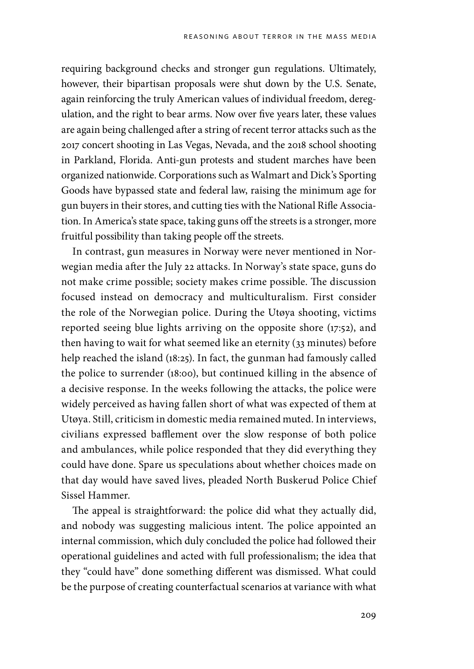requiring background checks and stronger gun regulations. Ultimately, however, their bipartisan proposals were shut down by the U.S. Senate, again reinforcing the truly American values of individual freedom, deregulation, and the right to bear arms. Now over five years later, these values are again being challenged after a string of recent terror attacks such as the 2017 concert shooting in Las Vegas, Nevada, and the 2018 school shooting in Parkland, Florida. Anti-gun protests and student marches have been organized nationwide. Corporations such as Walmart and Dick's Sporting Goods have bypassed state and federal law, raising the minimum age for gun buyers in their stores, and cutting ties with the National Rifle Association. In America's state space, taking guns off the streets is a stronger, more fruitful possibility than taking people off the streets.

In contrast, gun measures in Norway were never mentioned in Norwegian media after the July 22 attacks. In Norway's state space, guns do not make crime possible; society makes crime possible. The discussion focused instead on democracy and multiculturalism. First consider the role of the Norwegian police. During the Utøya shooting, victims reported seeing blue lights arriving on the opposite shore (17:52), and then having to wait for what seemed like an eternity (33 minutes) before help reached the island (18:25). In fact, the gunman had famously called the police to surrender (18:00), but continued killing in the absence of a decisive response. In the weeks following the attacks, the police were widely perceived as having fallen short of what was expected of them at Utøya. Still, criticism in domestic media remained muted. In interviews, civilians expressed bafflement over the slow response of both police and ambulances, while police responded that they did everything they could have done. Spare us speculations about whether choices made on that day would have saved lives, pleaded North Buskerud Police Chief Sissel Hammer.

The appeal is straightforward: the police did what they actually did, and nobody was suggesting malicious intent. The police appointed an internal commission, which duly concluded the police had followed their operational guidelines and acted with full professionalism; the idea that they "could have" done something different was dismissed. What could be the purpose of creating counterfactual scenarios at variance with what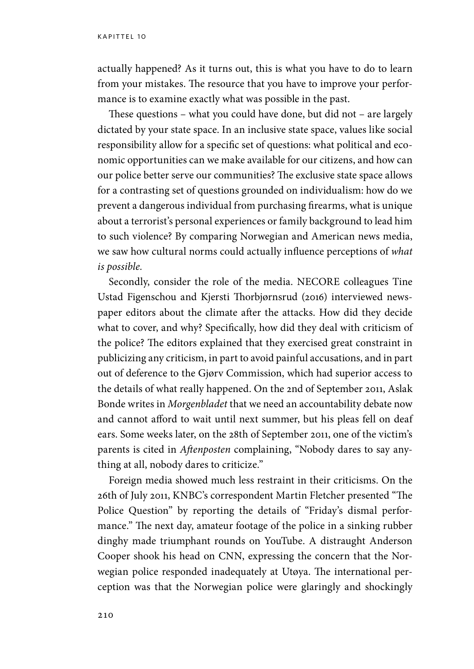actually happened? As it turns out, this is what you have to do to learn from your mistakes. The resource that you have to improve your performance is to examine exactly what was possible in the past.

These questions – what you could have done, but did not – are largely dictated by your state space. In an inclusive state space, values like social responsibility allow for a specific set of questions: what political and economic opportunities can we make available for our citizens, and how can our police better serve our communities? The exclusive state space allows for a contrasting set of questions grounded on individualism: how do we prevent a dangerous individual from purchasing firearms, what is unique about a terrorist's personal experiences or family background to lead him to such violence? By comparing Norwegian and American news media, we saw how cultural norms could actually influence perceptions of *what is possible.* 

Secondly, consider the role of the media. NECORE colleagues Tine Ustad Figenschou and Kjersti Thorbjørnsrud (2016) interviewed newspaper editors about the climate after the attacks. How did they decide what to cover, and why? Specifically, how did they deal with criticism of the police? The editors explained that they exercised great constraint in publicizing any criticism, in part to avoid painful accusations, and in part out of deference to the Gjørv Commission, which had superior access to the details of what really happened. On the 2nd of September 2011, Aslak Bonde writes in *Morgenbladet* that we need an accountability debate now and cannot afford to wait until next summer, but his pleas fell on deaf ears. Some weeks later, on the 28th of September 2011, one of the victim's parents is cited in *Aftenposten* complaining, "Nobody dares to say anything at all, nobody dares to criticize."

Foreign media showed much less restraint in their criticisms. On the 26th of July 2011, KNBC's correspondent Martin Fletcher presented "The Police Question" by reporting the details of "Friday's dismal performance." The next day, amateur footage of the police in a sinking rubber dinghy made triumphant rounds on YouTube. A distraught Anderson Cooper shook his head on CNN, expressing the concern that the Norwegian police responded inadequately at Utøya. The international perception was that the Norwegian police were glaringly and shockingly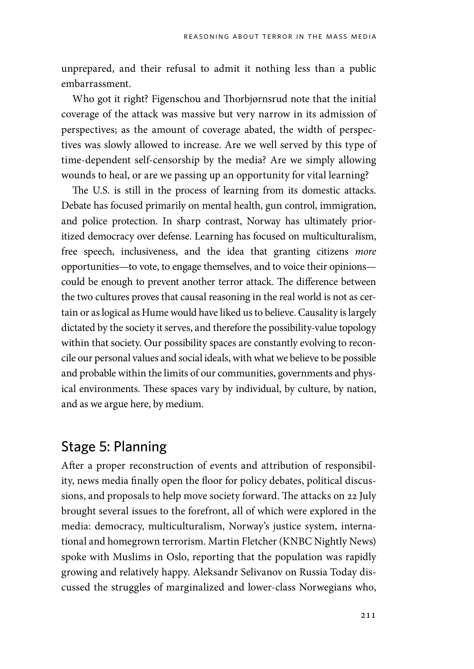unprepared, and their refusal to admit it nothing less than a public embarrassment.

Who got it right? Figenschou and Thorbjørnsrud note that the initial coverage of the attack was massive but very narrow in its admission of perspectives; as the amount of coverage abated, the width of perspectives was slowly allowed to increase. Are we well served by this type of time-dependent self-censorship by the media? Are we simply allowing wounds to heal, or are we passing up an opportunity for vital learning?

The U.S. is still in the process of learning from its domestic attacks. Debate has focused primarily on mental health, gun control, immigration, and police protection. In sharp contrast, Norway has ultimately prioritized democracy over defense. Learning has focused on multiculturalism, free speech, inclusiveness, and the idea that granting citizens *more* opportunities—to vote, to engage themselves, and to voice their opinions could be enough to prevent another terror attack. The difference between the two cultures proves that causal reasoning in the real world is not as certain or as logical as Hume would have liked us to believe. Causality is largely dictated by the society it serves, and therefore the possibility-value topology within that society. Our possibility spaces are constantly evolving to reconcile our personal values and social ideals, with what we believe to be possible and probable within the limits of our communities, governments and physical environments. These spaces vary by individual, by culture, by nation, and as we argue here, by medium.

#### Stage 5: Planning

After a proper reconstruction of events and attribution of responsibility, news media finally open the floor for policy debates, political discussions, and proposals to help move society forward. The attacks on 22 July brought several issues to the forefront, all of which were explored in the media: democracy, multiculturalism, Norway's justice system, international and homegrown terrorism. Martin Fletcher (KNBC Nightly News) spoke with Muslims in Oslo, reporting that the population was rapidly growing and relatively happy. Aleksandr Selivanov on Russia Today discussed the struggles of marginalized and lower-class Norwegians who,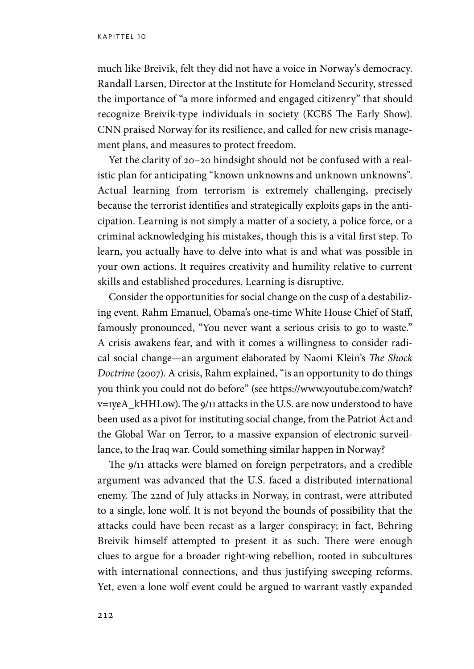much like Breivik, felt they did not have a voice in Norway's democracy. Randall Larsen, Director at the Institute for Homeland Security, stressed the importance of "a more informed and engaged citizenry" that should recognize Breivik-type individuals in society (KCBS The Early Show). CNN praised Norway for its resilience, and called for new crisis management plans, and measures to protect freedom.

Yet the clarity of 20–20 hindsight should not be confused with a realistic plan for anticipating "known unknowns and unknown unknowns". Actual learning from terrorism is extremely challenging, precisely because the terrorist identifies and strategically exploits gaps in the anticipation. Learning is not simply a matter of a society, a police force, or a criminal acknowledging his mistakes, though this is a vital first step. To learn, you actually have to delve into what is and what was possible in your own actions. It requires creativity and humility relative to current skills and established procedures. Learning is disruptive.

Consider the opportunities for social change on the cusp of a destabilizing event. Rahm Emanuel, Obama's one-time White House Chief of Staff, famously pronounced, "You never want a serious crisis to go to waste." A crisis awakens fear, and with it comes a willingness to consider radical social change—an argument elaborated by Naomi Klein's *The Shock Doctrine* (2007). A crisis, Rahm explained, "is an opportunity to do things you think you could not do before" (see https://www.youtube.com/watch? v=1yeA\_kHHLow). The 9/11 attacks in the U.S. are now understood to have been used as a pivot for instituting social change, from the Patriot Act and the Global War on Terror, to a massive expansion of electronic surveillance, to the Iraq war. Could something similar happen in Norway?

The 9/11 attacks were blamed on foreign perpetrators, and a credible argument was advanced that the U.S. faced a distributed international enemy. The 22nd of July attacks in Norway, in contrast, were attributed to a single, lone wolf. It is not beyond the bounds of possibility that the attacks could have been recast as a larger conspiracy; in fact, Behring Breivik himself attempted to present it as such. There were enough clues to argue for a broader right-wing rebellion, rooted in subcultures with international connections, and thus justifying sweeping reforms. Yet, even a lone wolf event could be argued to warrant vastly expanded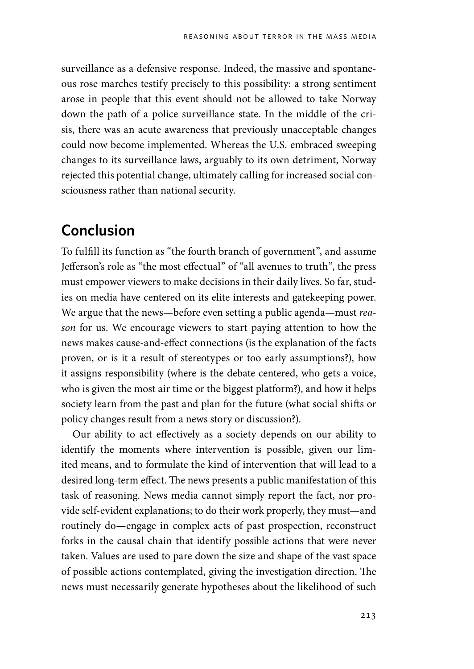surveillance as a defensive response. Indeed, the massive and spontaneous rose marches testify precisely to this possibility: a strong sentiment arose in people that this event should not be allowed to take Norway down the path of a police surveillance state. In the middle of the crisis, there was an acute awareness that previously unacceptable changes could now become implemented. Whereas the U.S. embraced sweeping changes to its surveillance laws, arguably to its own detriment, Norway rejected this potential change, ultimately calling for increased social consciousness rather than national security.

# **Conclusion**

To fulfill its function as "the fourth branch of government", and assume Jefferson's role as "the most effectual" of "all avenues to truth", the press must empower viewers to make decisions in their daily lives. So far, studies on media have centered on its elite interests and gatekeeping power. We argue that the news—before even setting a public agenda—must *reason* for us. We encourage viewers to start paying attention to how the news makes cause-and-effect connections (is the explanation of the facts proven, or is it a result of stereotypes or too early assumptions?), how it assigns responsibility (where is the debate centered, who gets a voice, who is given the most air time or the biggest platform?), and how it helps society learn from the past and plan for the future (what social shifts or policy changes result from a news story or discussion?).

Our ability to act effectively as a society depends on our ability to identify the moments where intervention is possible, given our limited means, and to formulate the kind of intervention that will lead to a desired long-term effect. The news presents a public manifestation of this task of reasoning. News media cannot simply report the fact, nor provide self-evident explanations; to do their work properly, they must—and routinely do—engage in complex acts of past prospection, reconstruct forks in the causal chain that identify possible actions that were never taken. Values are used to pare down the size and shape of the vast space of possible actions contemplated, giving the investigation direction. The news must necessarily generate hypotheses about the likelihood of such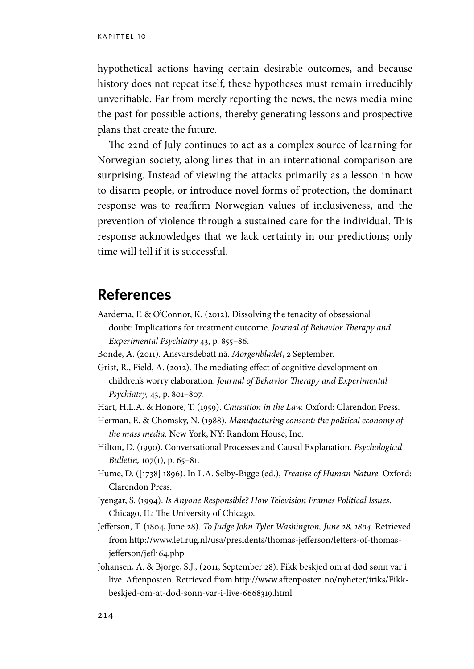hypothetical actions having certain desirable outcomes, and because history does not repeat itself, these hypotheses must remain irreducibly unverifiable. Far from merely reporting the news, the news media mine the past for possible actions, thereby generating lessons and prospective plans that create the future.

The 22nd of July continues to act as a complex source of learning for Norwegian society, along lines that in an international comparison are surprising. Instead of viewing the attacks primarily as a lesson in how to disarm people, or introduce novel forms of protection, the dominant response was to reaffirm Norwegian values of inclusiveness, and the prevention of violence through a sustained care for the individual. This response acknowledges that we lack certainty in our predictions; only time will tell if it is successful.

#### **References**

- Aardema, F. & O'Connor, K. (2012). Dissolving the tenacity of obsessional doubt: Implications for treatment outcome. *Journal of Behavior Therapy and Experimental Psychiatry* 43, p. 855–86.
- Bonde, A. (2011). Ansvarsdebatt nå. *Morgenbladet*, 2 September.
- Grist, R., Field, A. (2012). The mediating effect of cognitive development on children's worry elaboration. *Journal of Behavior Therapy and Experimental Psychiatry,* 43, p. 801–807.
- Hart, H.L.A. & Honore, T. (1959). *Causation in the Law.* Oxford: Clarendon Press.
- Herman, E. & Chomsky, N. (1988). *Manufacturing consent: the political economy of the mass media.* New York, NY: Random House, Inc.
- Hilton, D. (1990). Conversational Processes and Causal Explanation. *Psychological Bulletin,* 107(1), p. 65–81.
- Hume, D. ([1738] 1896). In L.A. Selby-Bigge (ed.), *Treatise of Human Nature.* Oxford: Clarendon Press.
- Iyengar, S. (1994). *Is Anyone Responsible? How Television Frames Political Issues*. Chicago, IL: The University of Chicago.
- Jefferson, T. (1804, June 28). *To Judge John Tyler Washington, June 28, 1804*. Retrieved from http://www.let.rug.nl/usa/presidents/thomas-jefferson/letters-of-thomasjefferson/jefl164.php
- Johansen, A. & Bjorge, S.J., (2011, September 28). Fikk beskjed om at død sønn var i live. Aftenposten. Retrieved from http://www.aftenposten.no/nyheter/iriks/Fikkbeskjed-om-at-dod-sonn-var-i-live-6668319.html